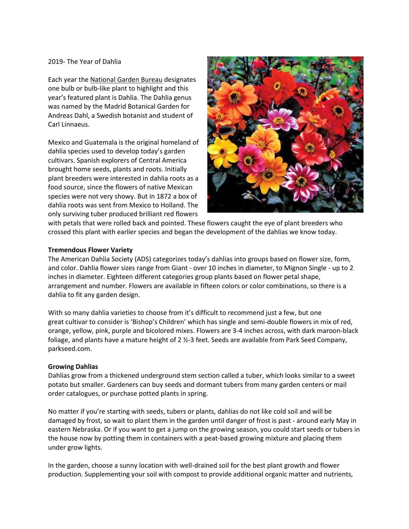### 2019- The Year of Dahlia

Each year the [National Garden Bureau](http://www.ngb.org/) designates one bulb or bulb-like plant to highlight and this year's featured plant is Dahlia. The Dahlia genus was named by the Madrid Botanical Garden for Andreas Dahl, a Swedish botanist and student of Carl Linnaeus.

Mexico and Guatemala is the original homeland of dahlia species used to develop today's garden cultivars. Spanish explorers of Central America brought home seeds, plants and roots. Initially plant breeders were interested in dahlia roots as a food source, since the flowers of native Mexican species were not very showy. But in 1872 a box of dahlia roots was sent from Mexico to Holland. The only surviving tuber produced brilliant red flowers



with petals that were rolled back and pointed. These flowers caught the eye of plant breeders who crossed this plant with earlier species and began the development of the dahlias we know today.

## **Tremendous Flower Variety**

The American Dahlia Society (ADS) categorizes today's dahlias into groups based on flower size, form, and color. Dahlia flower sizes range from Giant - over 10 inches in diameter, to Mignon Single - up to 2 inches in diameter. Eighteen different categories group plants based on flower petal shape, arrangement and number. Flowers are available in fifteen colors or color combinations, so there is a dahlia to fit any garden design.

With so many dahlia varieties to choose from it's difficult to recommend just a few, but one great cultivar to consider is 'Bishop's Children' which has single and semi-double flowers in mix of red, orange, yellow, pink, purple and bicolored mixes. Flowers are 3-4 inches across, with dark maroon-black foliage, and plants have a mature height of 2 ½-3 feet. Seeds are available from Park Seed Company, parkseed.com.

#### **Growing Dahlias**

Dahlias grow from a thickened underground stem section called a tuber, which looks similar to a sweet potato but smaller. Gardeners can buy seeds and dormant tubers from many garden centers or mail order catalogues, or purchase potted plants in spring.

No matter if you're starting with seeds, tubers or plants, dahlias do not like cold soil and will be damaged by frost, so wait to plant them in the garden until danger of frost is past - around early May in eastern Nebraska. Or if you want to get a jump on the growing season, you could start seeds or tubers in the house now by potting them in containers with a peat-based growing mixture and placing them under grow lights.

In the garden, choose a sunny location with well-drained soil for the best plant growth and flower production. Supplementing your soil with compost to provide additional organic matter and nutrients,